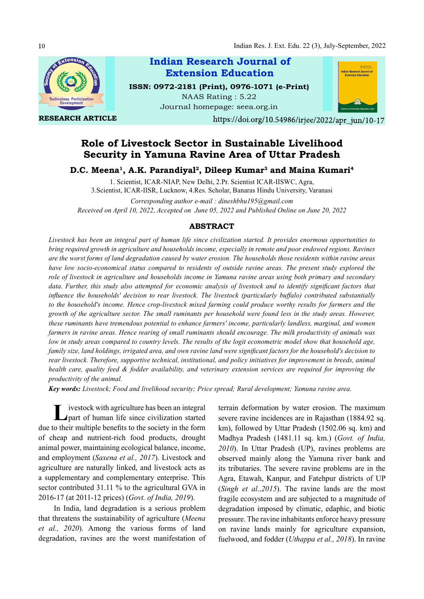

RESEARCH ARTICLE

Indian Research Journal of ISSN: 0972-2181 (Print), 0976-1071 (e-Print) NAAS Rating : 5.22 Extension Education

Journal homepage: seea.org.in



https://doi.org/10.54986/irjee/2022/apr jun/10-17

# Role of Livestock Sector in Sustainable Livelihood Security in Yamuna Ravine Area of Uttar Pradesh

D.C. Meena<sup>1</sup>, A.K. Parandiyal<sup>2</sup>, Dileep Kumar<sup>3</sup> and Maina Kumari<sup>4</sup>

1. Scientist, ICAR-NIAP, New Delhi, 2.Pr. Scientist ICAR-IISWC, Agra, 3.Scientist, ICAR-IISR, Lucknow, 4.Res. Scholar, Banaras Hindu University, Varanasi Corresponding author e-mail : dineshbhu195@gmail.com Received on April 10, 2022, Accepted on June 05, 2022 and Published Online on June 20, 2022

# ABSTRACT

Livestock has been an integral part of human life since civilization started. It provides enormous opportunities to bring required growth in agriculture and households income, especially in remote and poor endowed regions. Ravines are the worst forms of land degradation caused by water erosion. The households those residents within ravine areas have low socio-economical status compared to residents of outside ravine areas. The present study explored the role of livestock in agriculture and households income in Yamuna ravine areas using both primary and secondary data. Further, this study also attempted for economic analysis of livestock and to identify significant factors that influence the households' decision to rear livestock. The livestock (particularly buffalo) contributed substantially to the household's income. Hence crop-livestock mixed farming could produce worthy results for farmers and the growth of the agriculture sector. The small ruminants per household were found less in the study areas. However, these ruminants have tremendous potential to enhance farmers' income, particularly landless, marginal, and women farmers in ravine areas. Hence rearing of small ruminants should encourage. The milk productivity of animals was low in study areas compared to country levels. The results of the logit econometric model show that household age, family size, land holdings, irrigated area, and own ravine land were significant factors for the household's decision to rear livestock. Therefore, supportive technical, institutional, and policy initiatives for improvement in breeds, animal health care, quality feed & fodder availability, and veterinary extension services are required for improving the productivity of the animal.

Key words: Livestock; Food and livelihood security; Price spread; Rural development; Yamuna ravine area.

L ivestock with agriculture has been an integral terrain deform<br>part of human life since civilization started severe ravine i ivestock with agriculture has been an integral due to their multiple benefits to the society in the form of cheap and nutrient-rich food products, drought animal power, maintaining ecological balance, income, and employment (Saxena et al., 2017). Livestock and agriculture are naturally linked, and livestock acts as a supplementary and complementary enterprise. This sector contributed 31.11 % to the agricultural GVA in 2016-17 (at 2011-12 prices) (Govt. of India, 2019).

In India, land degradation is a serious problem that threatens the sustainability of agriculture (Meena et al., 2020). Among the various forms of land degradation, ravines are the worst manifestation of

terrain deformation by water erosion. The maximum severe ravine incidences are in Rajasthan (1884.92 sq. km), followed by Uttar Pradesh (1502.06 sq. km) and Madhya Pradesh (1481.11 sq. km.) (Govt. of India, 2010). In Uttar Pradesh (UP), ravines problems are observed mainly along the Yamuna river bank and its tributaries. The severe ravine problems are in the Agra, Etawah, Kanpur, and Fatehpur districts of UP (Singh et al.,2015). The ravine lands are the most fragile ecosystem and are subjected to a magnitude of degradation imposed by climatic, edaphic, and biotic pressure. The ravine inhabitants enforce heavy pressure on ravine lands mainly for agriculture expansion, fuelwood, and fodder (Uthappa et al., 2018). In ravine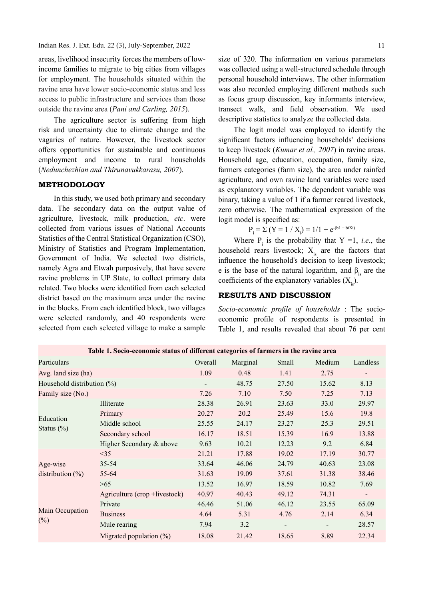Indian Res. J. Ext. Edu. 22 (3), July-September, 2022

areas, livelihood insecurity forces the members of lowincome families to migrate to big cities from villages for employment. The households situated within the ravine area have lower socio-economic status and less access to public infrastructure and services than those outside the ravine area (Pani and Carling, 2015).

The agriculture sector is suffering from high risk and uncertainty due to climate change and the vagaries of nature. However, the livestock sector offers opportunities for sustainable and continuous employment and income to rural households (Nedunchezhian and Thirunavukkarasu, 2007).

# METHODOLOGY

In this study, we used both primary and secondary data. The secondary data on the output value of agriculture, livestock, milk production, etc. were collected from various issues of National Accounts Statistics of the Central Statistical Organization (CSO), Ministry of Statistics and Program Implementation, Government of India. We selected two districts, namely Agra and Etwah purposively, that have severe ravine problems in UP State, to collect primary data related. Two blocks were identified from each selected district based on the maximum area under the ravine in the blocks. From each identified block, two villages were selected randomly, and 40 respondents were selected from each selected village to make a sample

size of 320. The information on various parameters was collected using a well-structured schedule through personal household interviews. The other information was also recorded employing different methods such as focus group discussion, key informants interview, transect walk, and field observation. We used descriptive statistics to analyze the collected data.

The logit model was employed to identify the significant factors influencing households' decisions to keep livestock (Kumar et al., 2007) in ravine areas. Household age, education, occupation, family size, farmers categories (farm size), the area under rainfed agriculture, and own ravine land variables were used as explanatory variables. The dependent variable was binary, taking a value of 1 if a farmer reared livestock, zero otherwise. The mathematical expression of the logit model is specified as:

$$
P_i = \Sigma (Y = 1 / X_i) = 1/1 + e^{-(b1 + biXi)}
$$

Where  $P_i$  is the probability that  $Y = 1$ , *i.e.*, the household rears livestock;  $X_{i}$  are the factors that influence the household's decision to keep livestock; e is the base of the natural logarithm, and  $\beta_i$  are the coefficients of the explanatory variables  $(X_{i})$ .

# RESULTS AND DISCUSSION

Socio-economic profile of households : The socioeconomic profile of respondents is presented in Table 1, and results revealed that about 76 per cent

| Table 1. Socio-economic status of different categories of farmers in the ravine area |                               |         |          |                          |                          |                              |
|--------------------------------------------------------------------------------------|-------------------------------|---------|----------|--------------------------|--------------------------|------------------------------|
| Particulars                                                                          |                               | Overall | Marginal | Small                    | Medium                   | Landless                     |
| Avg. land size (ha)                                                                  |                               | 1.09    | 0.48     | 1.41                     | 2.75                     |                              |
| Household distribution (%)                                                           |                               |         | 48.75    | 27.50                    | 15.62                    | 8.13                         |
| Family size (No.)                                                                    |                               | 7.26    | 7.10     | 7.50                     | 7.25                     | 7.13                         |
|                                                                                      | Illiterate                    | 28.38   | 26.91    | 23.63                    | 33.0                     | 29.97                        |
|                                                                                      | Primary                       | 20.27   | 20.2     | 25.49                    | 15.6                     | 19.8                         |
| Education<br>Status $(\%)$                                                           | Middle school                 | 25.55   | 24.17    | 23.27                    | 25.3                     | 29.51                        |
|                                                                                      | Secondary school              | 16.17   | 18.51    | 15.39                    | 16.9                     | 13.88                        |
|                                                                                      | Higher Secondary & above      | 9.63    | 10.21    | 12.23                    | 9.2                      | 6.84                         |
|                                                                                      | <35                           | 21.21   | 17.88    | 19.02                    | 17.19                    | 30.77                        |
| Age-wise                                                                             | $35 - 54$                     | 33.64   | 46.06    | 24.79                    | 40.63                    | 23.08                        |
| distribution $(\%)$                                                                  | 55-64                         | 31.63   | 19.09    | 37.61                    | 31.38                    | 38.46                        |
|                                                                                      | >65                           | 13.52   | 16.97    | 18.59                    | 10.82                    | 7.69                         |
|                                                                                      | Agriculture (crop +livestock) | 40.97   | 40.43    | 49.12                    | 74.31                    | $\qquad \qquad \blacksquare$ |
| Main Occupation                                                                      | Private                       | 46.46   | 51.06    | 46.12                    | 23.55                    | 65.09                        |
|                                                                                      | <b>Business</b>               | 4.64    | 5.31     | 4.76                     | 2.14                     | 6.34                         |
| $(\%)$                                                                               | Mule rearing                  | 7.94    | 3.2      | $\overline{\phantom{a}}$ | $\overline{\phantom{a}}$ | 28.57                        |
|                                                                                      | Migrated population $(\%)$    | 18.08   | 21.42    | 18.65                    | 8.89                     | 22.34                        |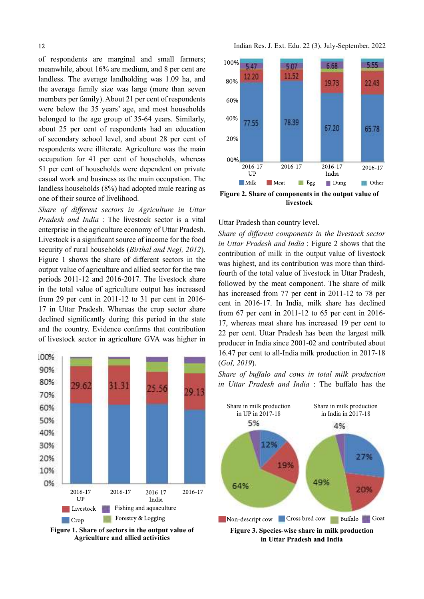of respondents are marginal and small farmers;<br>meanwhile about  $16\%$  are medium and 8 per cent are  $100\%$ meanwhile, about 16% are medium, and 8 per cent are  $\frac{5.47}{12.20}$ landless. The average landholding was 1.09 ha, and the average family size was large (more than seven members per family). About 21 per cent of respondents were below the 35 years' age, and most households belonged to the age group of 35-64 years. Similarly,  $40\%$  77.55 about 25 per cent of respondents had an education of secondary school level, and about 28 per cent of respondents were illiterate. Agriculture was the main occupation for 41 per cent of households, whereas  $00\%$ <br>51 per cent of households were dependent on private  $2016-17$ 51 per cent of households were dependent on private  $\frac{2016-1}{UP}$ casual work and business as the main occupation. The landless households (8%) had adopted mule rearing as one of their source of livelihood.

Share of different sectors in Agriculture in Uttar Pradesh and India : The livestock sector is a vital enterprise in the agriculture economy of Uttar Pradesh. Livestock is a significant source of income for the food security of rural households *(Birthal and Negi, 2012)*. Figure 1 shows the share of different sectors in the output value of agriculture and allied sector for the two periods 2011-12 and 2016-2017. The livestock share in the total value of agriculture output has increased from 29 per cent in 2011-12 to 31 per cent in 2016- 17 in Uttar Pradesh. Whereas the crop sector share declined significantly during this period in the state and the country. Evidence confirms that contribution of livestock sector in agriculture GVA was higher in



Figure 1. Share of sectors in the output value of Agriculture and allied activities





# Uttar Pradesh than country level.

Share of different components in the livestock sector in Uttar Pradesh and India : Figure 2 shows that the contribution of milk in the output value of livestock was highest, and its contribution was more than thirdfourth of the total value of livestock in Uttar Pradesh, followed by the meat component. The share of milk has increased from 77 per cent in 2011-12 to 78 per cent in 2016-17. In India, milk share has declined from 67 per cent in 2011-12 to 65 per cent in 2016- 17, whereas meat share has increased 19 per cent to 22 per cent. Uttar Pradesh has been the largest milk producer in India since 2001-02 and contributed about 16.47 per cent to all-India milk production in 2017-18 (GoI, 2019).

Share of buffalo and cows in total milk production in Uttar Pradesh and India : The buffalo has the



in Uttar Pradesh and India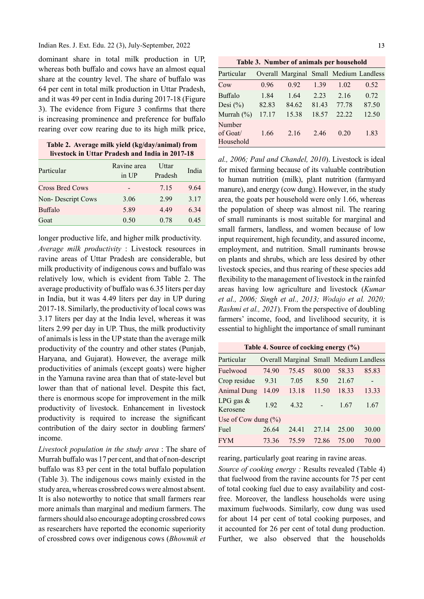#### Indian Res. J. Ext. Edu. 22 (3), July-September, 2022

dominant share in total milk production in UP, whereas both buffalo and cows have an almost equal share at the country level. The share of buffalo was 64 per cent in total milk production in Uttar Pradesh, and it was 49 per cent in India during 2017-18 (Figure 3). The evidence from Figure 3 confirms that there is increasing prominence and preference for buffalo rearing over cow rearing due to its high milk price,

|  |  | Table 2. Average milk yield (kg/day/animal) from |
|--|--|--------------------------------------------------|
|  |  | livestock in Uttar Pradesh and India in 2017-18  |

| Particular             | Ravine area<br>in UP | Uttar<br>Pradesh | India |
|------------------------|----------------------|------------------|-------|
| <b>Cross Bred Cows</b> |                      | 7.15             | 9.64  |
| Non-Descript Cows      | 3.06                 | 2.99             | 3.17  |
| Buffalo                | 5.89                 | 4.49             | 6.34  |
| Goat                   | 0.50                 | 0.78             | 0.45  |

longer productive life, and higher milk productivity.

Average milk productivity : Livestock resources in ravine areas of Uttar Pradesh are considerable, but milk productivity of indigenous cows and buffalo was relatively low, which is evident from Table 2. The average productivity of buffalo was 6.35 liters per day in India, but it was 4.49 liters per day in UP during 2017-18. Similarly, the productivity of local cows was 3.17 liters per day at the India level, whereas it was liters 2.99 per day in UP. Thus, the milk productivity of animals is less in the UP state than the average milk productivity of the country and other states (Punjab, Haryana, and Gujarat). However, the average milk productivities of animals (except goats) were higher in the Yamuna ravine area than that of state-level but lower than that of national level. Despite this fact, there is enormous scope for improvement in the milk productivity of livestock. Enhancement in livestock productivity is required to increase the significant contribution of the dairy sector in doubling farmers' income.

Livestock population in the study area : The share of Murrah buffalo was 17 per cent, and that of non-descript buffalo was 83 per cent in the total buffalo population (Table 3). The indigenous cows mainly existed in the study area, whereas crossbred cows were almost absent. It is also noteworthy to notice that small farmers rear more animals than marginal and medium farmers. The farmers should also encourage adopting crossbred cows as researchers have reported the economic superiority of crossbred cows over indigenous cows (Bhowmik et

13

Table 3. Number of animals per household

| Particular       |       | Overall Marginal Small Medium Landless |       |       |       |
|------------------|-------|----------------------------------------|-------|-------|-------|
| Cow              | 0.96  | 0.92                                   | 1.39  | 1.02  | 0.52  |
| Buffalo          | 1.84  | 1.64                                   | 2.23  | 2.16  | 0.72  |
| Desi $(\% )$     | 82.83 | 84.62                                  | 81.43 | 77.78 | 87.50 |
| Murrah $(\%)$    | 17.17 | 15.38                                  | 18.57 | 22.22 | 12.50 |
| Number           |       |                                        |       |       |       |
| $\alpha$ f Goat/ | 1.66  | 2.16                                   | 2.46  | 0.20  | 1.83  |
| Household        |       |                                        |       |       |       |

al., 2006; Paul and Chandel, 2010). Livestock is ideal for mixed farming because of its valuable contribution to human nutrition (milk), plant nutrition (farmyard manure), and energy (cow dung). However, in the study area, the goats per household were only 1.66, whereas the population of sheep was almost nil. The rearing of small ruminants is most suitable for marginal and small farmers, landless, and women because of low input requirement, high fecundity, and assured income, employment, and nutrition. Small ruminants browse on plants and shrubs, which are less desired by other livestock species, and thus rearing of these species add flexibility to the management of livestock in the rainfed areas having low agriculture and livestock (Kumar et al., 2006; Singh et al., 2013; Wodajo et al. 2020; Rashmi et al., 2021). From the perspective of doubling farmers' income, food, and livelihood security, it is essential to highlight the importance of small ruminant

| Table 4. Source of cocking energy (%) |  |  |  |  |  |
|---------------------------------------|--|--|--|--|--|
|---------------------------------------|--|--|--|--|--|

| Particular              |       | Overall Marginal Small Medium Landless |       |       |       |
|-------------------------|-------|----------------------------------------|-------|-------|-------|
| Fuelwood                | 74.90 | 75.45                                  | 80.00 | 58.33 | 85.83 |
| Crop residue            | 9.31  | 7.05                                   | 8.50  | 21.67 |       |
| <b>Animal Dung</b>      | 14.09 | 13.18                                  | 11.50 | 18.33 | 13.33 |
| LPG gas $&$<br>Kerosene | 1.92  | 4.32                                   |       | 1.67  | 1.67  |
| Use of Cow dung $(\%)$  |       |                                        |       |       |       |
| Fuel                    | 26.64 | 24.41                                  | 27.14 | 25.00 | 30.00 |
| <b>FYM</b>              | 73.36 | 75.59                                  | 72.86 | 75.00 | 70.00 |

rearing, particularly goat rearing in ravine areas.

Source of cooking energy : Results revealed (Table 4) that fuelwood from the ravine accounts for 75 per cent of total cooking fuel due to easy availability and costfree. Moreover, the landless households were using maximum fuelwoods. Similarly, cow dung was used for about 14 per cent of total cooking purposes, and it accounted for 26 per cent of total dung production. Further, we also observed that the households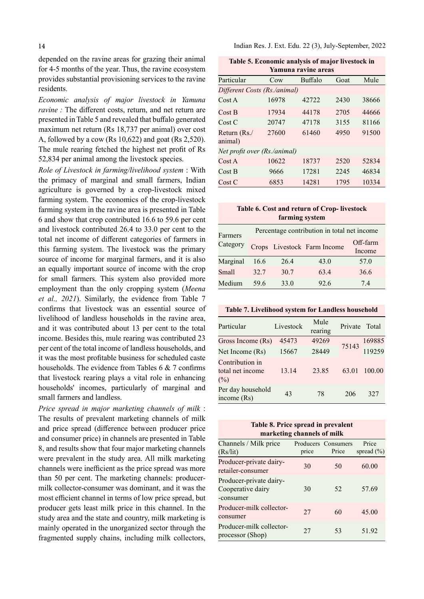depended on the ravine areas for grazing their animal for 4-5 months of the year. Thus, the ravine ecosystem provides substantial provisioning services to the ravine residents.

Economic analysis of major livestock in Yamuna ravine : The different costs, return, and net return are presented in Table 5 and revealed that buffalo generated maximum net return (Rs 18,737 per animal) over cost A, followed by a cow (Rs 10,622) and goat (Rs 2,520). The mule rearing fetched the highest net profit of Rs 52,834 per animal among the livestock species.

Role of Livestock in farming/livelihood system : With the primacy of marginal and small farmers, Indian agriculture is governed by a crop-livestock mixed farming system. The economics of the crop-livestock farming system in the ravine area is presented in Table 6 and show that crop contributed 16.6 to 59.6 per cent and livestock contributed 26.4 to 33.0 per cent to the total net income of different categories of farmers in this farming system. The livestock was the primary source of income for marginal farmers, and it is also an equally important source of income with the crop for small farmers. This system also provided more employment than the only cropping system (Meena et al., 2021). Similarly, the evidence from Table 7 confirms that livestock was an essential source of livelihood of landless households in the ravine area, and it was contributed about 13 per cent to the total income. Besides this, mule rearing was contributed 23 per cent of the total income of landless households, and it was the most profitable business for scheduled caste households. The evidence from Tables  $6 \& 7$  confirms that livestock rearing plays a vital role in enhancing households' incomes, particularly of marginal and small farmers and landless.

Price spread in major marketing channels of milk : The results of prevalent marketing channels of milk and price spread (difference between producer price and consumer price) in channels are presented in Table 8, and results show that four major marketing channels were prevalent in the study area. All milk marketing channels were inefficient as the price spread was more than 50 per cent. The marketing channels: producermilk collector-consumer was dominant, and it was the most efficient channel in terms of low price spread, but producer gets least milk price in this channel. In the study area and the state and country, milk marketing is mainly operated in the unorganized sector through the fragmented supply chains, including milk collectors,

Indian Res. J. Ext. Edu. 22 (3), July-September, 2022

| Table 5. Economic analysis of major livestock in |
|--------------------------------------------------|
| Yamuna ravine areas                              |

|                              | ташана гатше агсаз |         |      |       |  |  |  |
|------------------------------|--------------------|---------|------|-------|--|--|--|
| Particular                   | Cow                | Buffalo | Goat | Mule  |  |  |  |
| Different Costs (Rs./animal) |                    |         |      |       |  |  |  |
| Cost A                       | 16978              | 42722   | 2430 | 38666 |  |  |  |
| Cost B                       | 17934              | 44178   | 2705 | 44666 |  |  |  |
| Cost C                       | 20747              | 47178   | 3155 | 81166 |  |  |  |
| Return (Rs./<br>animal)      | 27600              | 61460   | 4950 | 91500 |  |  |  |
| Net profit over (Rs./animal) |                    |         |      |       |  |  |  |
| Cost A                       | 10622              | 18737   | 2520 | 52834 |  |  |  |
| Cost B                       | 9666               | 17281   | 2245 | 46834 |  |  |  |
| Cost C                       | 6853               | 14281   | 1795 | 10334 |  |  |  |

#### Table 6. Cost and return of Crop- livestock farming system

| Farmers  |      |      | Percentage contribution in total net income |                    |
|----------|------|------|---------------------------------------------|--------------------|
| Category |      |      | Crops Livestock Farm Income                 | Off-farm<br>Income |
| Marginal | 16.6 | 26.4 | 43.0                                        | 57.0               |
| Small    | 32.7 | 30.7 | 63.4                                        | 36.6               |
| Medium   | 59.6 | 33.0 | 92.6                                        | 74                 |

### Table 7. Livelihood system for Landless household

| Particular                                    | Livestock | Mule<br>rearing | Private | Total  |
|-----------------------------------------------|-----------|-----------------|---------|--------|
| Gross Income (Rs)                             | 45473     | 49269           |         | 169885 |
| Net Income (Rs)                               | 15667     | 28449           | 75143   | 119259 |
| Contribution in<br>total net income<br>$(\%)$ | 13.14     | 23.85           | 63.01   | 100.00 |
| Per day household<br>income $(Rs)$            | 43        | 78              | 206     | 327    |

#### Table 8. Price spread in prevalent marketing channels of milk

| Channels / Milk price<br>(Rs/lit)                         | price | Producers Consumers<br>Price | Price<br>spread $(\% )$ |
|-----------------------------------------------------------|-------|------------------------------|-------------------------|
| Producer-private dairy-<br>retailer-consumer              | 30    | 50                           | 60.00                   |
| Producer-private dairy-<br>Cooperative dairy<br>-consumer | 30    | 52                           | 57.69                   |
| Producer-milk collector-<br>consumer                      | 27    | 60                           | 45.00                   |
| Producer-milk collector-<br>processor (Shop)              | 27    | 53                           | 51.92                   |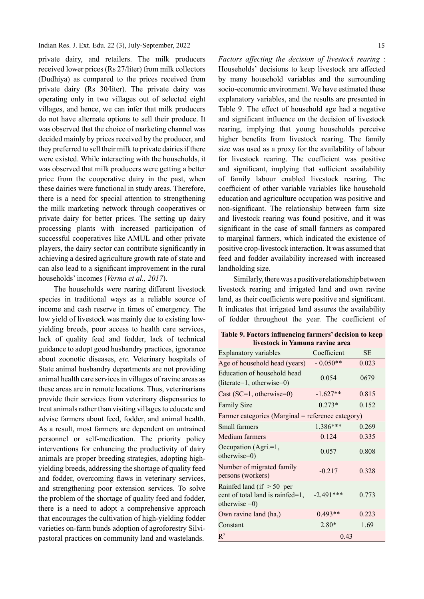private dairy, and retailers. The milk producers received lower prices (Rs 27/liter) from milk collectors (Dudhiya) as compared to the prices received from private dairy (Rs 30/liter). The private dairy was operating only in two villages out of selected eight villages, and hence, we can infer that milk producers do not have alternate options to sell their produce. It was observed that the choice of marketing channel was decided mainly by prices received by the producer, and they preferred to sell their milk to private dairies if there were existed. While interacting with the households, it was observed that milk producers were getting a better price from the cooperative dairy in the past, when these dairies were functional in study areas. Therefore, there is a need for special attention to strengthening the milk marketing network through cooperatives or private dairy for better prices. The setting up dairy processing plants with increased participation of successful cooperatives like AMUL and other private players, the dairy sector can contribute significantly in achieving a desired agriculture growth rate of state and can also lead to a significant improvement in the rural households' incomes (Verma et al., 2017).

The households were rearing different livestock species in traditional ways as a reliable source of income and cash reserve in times of emergency. The low yield of livestock was mainly due to existing lowyielding breeds, poor access to health care services, lack of quality feed and fodder, lack of technical guidance to adopt good husbandry practices, ignorance about zoonotic diseases, etc. Veterinary hospitals of State animal husbandry departments are not providing animal health care services in villages of ravine areas as these areas are in remote locations. Thus, veterinarians provide their services from veterinary dispensaries to treat animals rather than visiting villages to educate and advise farmers about feed, fodder, and animal health. As a result, most farmers are dependent on untrained personnel or self-medication. The priority policy interventions for enhancing the productivity of dairy animals are proper breeding strategies, adopting highyielding breeds, addressing the shortage of quality feed and fodder, overcoming flaws in veterinary services, and strengthening poor extension services. To solve the problem of the shortage of quality feed and fodder, there is a need to adopt a comprehensive approach that encourages the cultivation of high-yielding fodder varieties on-farm bunds adoption of agroforestry Silvipastoral practices on community land and wastelands.

Factors affecting the decision of livestock rearing : Households' decisions to keep livestock are affected by many household variables and the surrounding socio-economic environment. We have estimated these explanatory variables, and the results are presented in Table 9. The effect of household age had a negative and significant influence on the decision of livestock rearing, implying that young households perceive higher benefits from livestock rearing. The family size was used as a proxy for the availability of labour for livestock rearing. The coefficient was positive and significant, implying that sufficient availability of family labour enabled livestock rearing. The coefficient of other variable variables like household education and agriculture occupation was positive and non-significant. The relationship between farm size and livestock rearing was found positive, and it was significant in the case of small farmers as compared to marginal farmers, which indicated the existence of positive crop-livestock interaction. It was assumed that feed and fodder availability increased with increased landholding size.

Similarly, there was a positive relationship between livestock rearing and irrigated land and own ravine land, as their coefficients were positive and significant. It indicates that irrigated land assures the availability of fodder throughout the year. The coefficient of

| Table 9. Factors influencing farmers' decision to keep<br>livestock in Yamuna ravine area |             |           |  |  |  |
|-------------------------------------------------------------------------------------------|-------------|-----------|--|--|--|
| <b>Explanatory variables</b>                                                              | Coefficient | <b>SE</b> |  |  |  |
| Age of household head (years)                                                             | $-0.050**$  | 0.023     |  |  |  |
| Education of household head<br>$(literate=1, otherwise=0)$                                | 0.054       | 0679      |  |  |  |
| Cast $(SC=1, otherwise=0)$                                                                | $-1.627**$  | 0.815     |  |  |  |
| <b>Family Size</b>                                                                        | $0.273*$    | 0.152     |  |  |  |
| Farmer categories (Marginal = reference category)                                         |             |           |  |  |  |
| Small farmers                                                                             | 1.386***    | 0.269     |  |  |  |
| Medium farmers                                                                            | 0.124       | 0.335     |  |  |  |
| Occupation (Agri.=1,<br>otherwise=0)                                                      | 0.057       | 0.808     |  |  |  |
| Number of migrated family<br>persons (workers)                                            | $-0.217$    | 0.328     |  |  |  |
| Rainfed land (if $> 50$ per<br>cent of total land is rainfed=1,<br>otherwise $=0$ )       | $-2.491***$ | 0.773     |  |  |  |
| Own ravine land (ha,)                                                                     | $0.493**$   | 0.223     |  |  |  |
| Constant                                                                                  | $2.80*$     | 1.69      |  |  |  |
| $R^2$                                                                                     | 0.43        |           |  |  |  |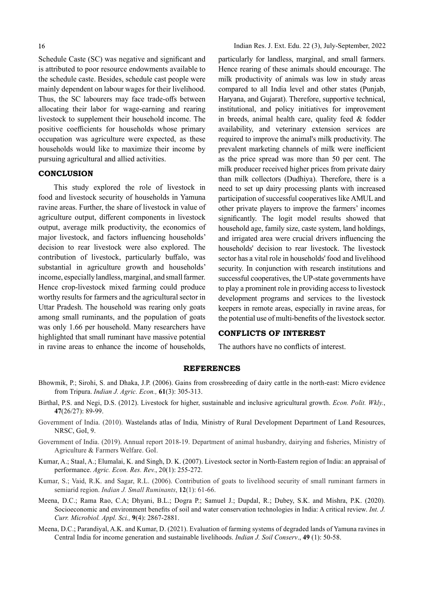Schedule Caste (SC) was negative and significant and is attributed to poor resource endowments available to the schedule caste. Besides, schedule cast people were mainly dependent on labour wages for their livelihood. Thus, the SC labourers may face trade-offs between allocating their labor for wage-earning and rearing livestock to supplement their household income. The positive coefficients for households whose primary occupation was agriculture were expected, as these households would like to maximize their income by pursuing agricultural and allied activities.

### **CONCLUSION**

This study explored the role of livestock in food and livestock security of households in Yamuna ravine areas. Further, the share of livestock in value of agriculture output, different components in livestock output, average milk productivity, the economics of major livestock, and factors influencing households' decision to rear livestock were also explored. The contribution of livestock, particularly buffalo, was substantial in agriculture growth and households' income, especially landless, marginal, and small farmer. Hence crop-livestock mixed farming could produce worthy results for farmers and the agricultural sector in Uttar Pradesh. The household was rearing only goats among small ruminants, and the population of goats was only 1.66 per household. Many researchers have highlighted that small ruminant have massive potential in ravine areas to enhance the income of households,

particularly for landless, marginal, and small farmers. Hence rearing of these animals should encourage. The milk productivity of animals was low in study areas compared to all India level and other states (Punjab, Haryana, and Gujarat). Therefore, supportive technical, institutional, and policy initiatives for improvement in breeds, animal health care, quality feed & fodder availability, and veterinary extension services are required to improve the animal's milk productivity. The prevalent marketing channels of milk were inefficient as the price spread was more than 50 per cent. The milk producer received higher prices from private dairy than milk collectors (Dudhiya). Therefore, there is a need to set up dairy processing plants with increased participation of successful cooperatives like AMUL and other private players to improve the farmers' incomes significantly. The logit model results showed that household age, family size, caste system, land holdings, and irrigated area were crucial drivers influencing the households' decision to rear livestock. The livestock sector has a vital role in households' food and livelihood security. In conjunction with research institutions and successful cooperatives, the UP-state governments have to play a prominent role in providing access to livestock development programs and services to the livestock keepers in remote areas, especially in ravine areas, for the potential use of multi-benefits of the livestock sector.

# CONFLICTS OF INTEREST

The authors have no conflicts of interest.

#### REFERENCES

- Bhowmik, P.; Sirohi, S. and Dhaka, J.P. (2006). Gains from crossbreeding of dairy cattle in the north-east: Micro evidence from Tripura. Indian J. Agric. Econ., 61(3): 305-313.
- Birthal, P.S. and Negi, D.S. (2012). Livestock for higher, sustainable and inclusive agricultural growth. *Econ. Polit. Wkly.*, 47(26/27): 89-99.
- Government of India. (2010). Wastelands atlas of India, Ministry of Rural Development Department of Land Resources, NRSC, GoI, 9.
- Government of India. (2019). Annual report 2018-19. Department of animal husbandry, dairying and fisheries, Ministry of Agriculture & Farmers Welfare. GoI.
- Kumar, A.; Staal, A.; Elumalai, K. and Singh, D. K. (2007). Livestock sector in North-Eastern region of India: an appraisal of performance. Agric. Econ. Res. Rev., 20(1): 255-272.
- Kumar, S.; Vaid, R.K. and Sagar, R.L. (2006). Contribution of goats to livelihood security of small ruminant farmers in semiarid region. *Indian J. Small Ruminants*, 12(1): 61-66.
- Meena, D.C.; Rama Rao, C.A; Dhyani, B.L.; Dogra P.; Samuel J.; Dupdal, R.; Dubey, S.K. and Mishra, P.K. (2020). Socioeconomic and environment benefits of soil and water conservation technologies in India: A critical review. Int. J. Curr. Microbiol. Appl. Sci., 9(4): 2867-2881.
- Meena, D.C.; Parandiyal, A.K. and Kumar, D. (2021). Evaluation of farming systems of degraded lands of Yamuna ravines in Central India for income generation and sustainable livelihoods. Indian J. Soil Conserv., 49 (1): 50-58.